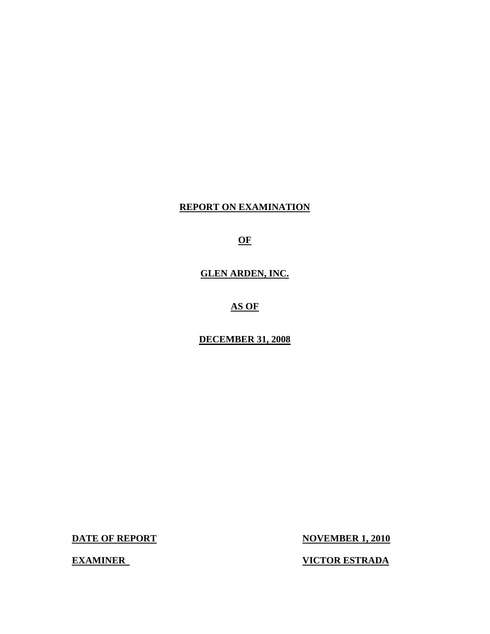## **REPORT ON EXAMINATION**

**OF** 

## **GLEN ARDEN, INC.**

**AS OF** 

**DECEMBER 31, 2008** 

**DATE OF REPORT** 

**NOVEMBER 1, 2010** 

**VICTOR ESTRADA** 

**EXAMINER**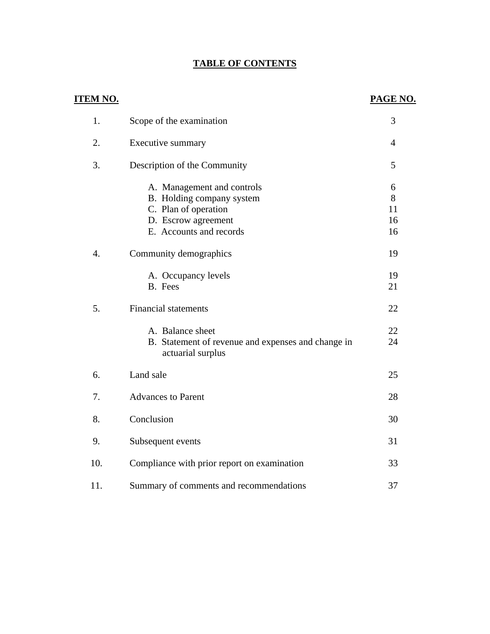## **TABLE OF CONTENTS**

| <u>ITEM NO.</u>  |                                                                                                                                   | PAGE NO.                 |
|------------------|-----------------------------------------------------------------------------------------------------------------------------------|--------------------------|
| 1.               | Scope of the examination                                                                                                          | 3                        |
| 2.               | Executive summary                                                                                                                 | $\overline{4}$           |
| 3.               | Description of the Community                                                                                                      | 5                        |
|                  | A. Management and controls<br>B. Holding company system<br>C. Plan of operation<br>D. Escrow agreement<br>E. Accounts and records | 6<br>8<br>11<br>16<br>16 |
| $\overline{4}$ . | Community demographics                                                                                                            | 19                       |
|                  | A. Occupancy levels<br>B. Fees                                                                                                    | 19<br>21                 |
| 5.               | <b>Financial statements</b>                                                                                                       | 22                       |
|                  | A. Balance sheet<br>B. Statement of revenue and expenses and change in<br>actuarial surplus                                       | 22<br>24                 |
| 6.               | Land sale                                                                                                                         | 25                       |
| 7.               | <b>Advances to Parent</b>                                                                                                         | 28                       |
| 8.               | Conclusion                                                                                                                        | 30                       |
| 9.               | Subsequent events                                                                                                                 | 31                       |
| 10.              | Compliance with prior report on examination                                                                                       | 33                       |
| 11.              | Summary of comments and recommendations                                                                                           | 37                       |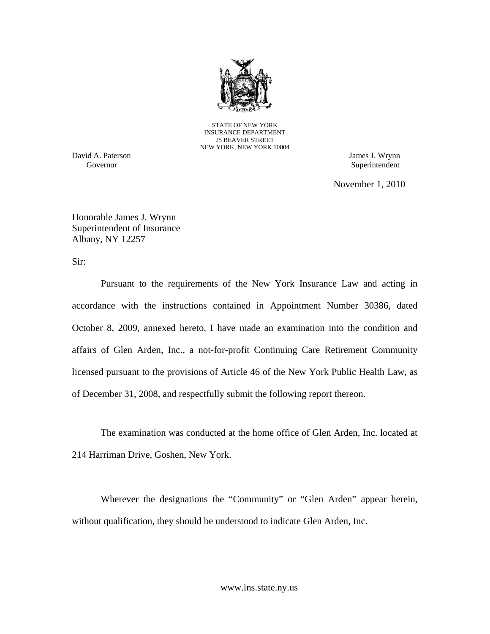

STATE OF NEW YORK INSURANCE DEPARTMENT 25 BEAVER STREET NEW YORK, NEW YORK 10004

Governor David A. Paterson James J. Wrynn

Superintendent

November 1, 2010

Honorable James J. Wrynn Superintendent of Insurance Albany, NY 12257

Sir:

Pursuant to the requirements of the New York Insurance Law and acting in accordance with the instructions contained in Appointment Number 30386, dated October 8, 2009, annexed hereto, I have made an examination into the condition and affairs of Glen Arden, Inc., a not-for-profit Continuing Care Retirement Community licensed pursuant to the provisions of Article 46 of the New York Public Health Law, as of December 31, 2008, and respectfully submit the following report thereon.

The examination was conducted at the home office of Glen Arden, Inc. located at 214 Harriman Drive, Goshen, New York.

Wherever the designations the "Community" or "Glen Arden" appear herein, without qualification, they should be understood to indicate Glen Arden, Inc.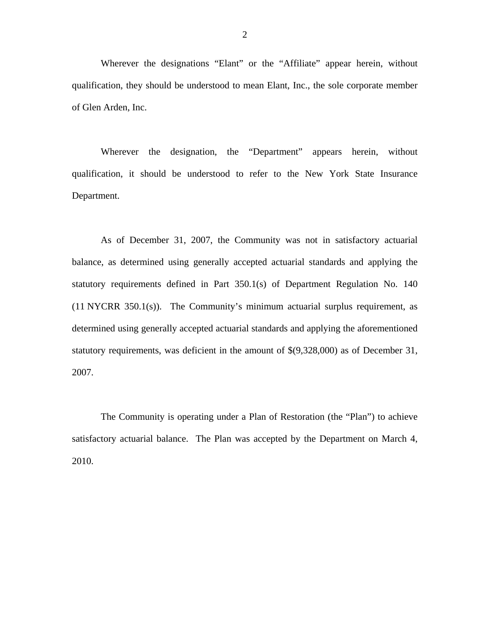Wherever the designations "Elant" or the "Affiliate" appear herein, without qualification, they should be understood to mean Elant, Inc., the sole corporate member of Glen Arden, Inc.

Wherever the designation, the "Department" appears herein, without qualification, it should be understood to refer to the New York State Insurance Department.

As of December 31, 2007, the Community was not in satisfactory actuarial balance, as determined using generally accepted actuarial standards and applying the statutory requirements defined in Part 350.1(s) of Department Regulation No. 140 (11 NYCRR 350.1(s)). The Community's minimum actuarial surplus requirement, as determined using generally accepted actuarial standards and applying the aforementioned statutory requirements, was deficient in the amount of \$(9,328,000) as of December 31, 2007.

The Community is operating under a Plan of Restoration (the "Plan") to achieve satisfactory actuarial balance. The Plan was accepted by the Department on March 4, 2010.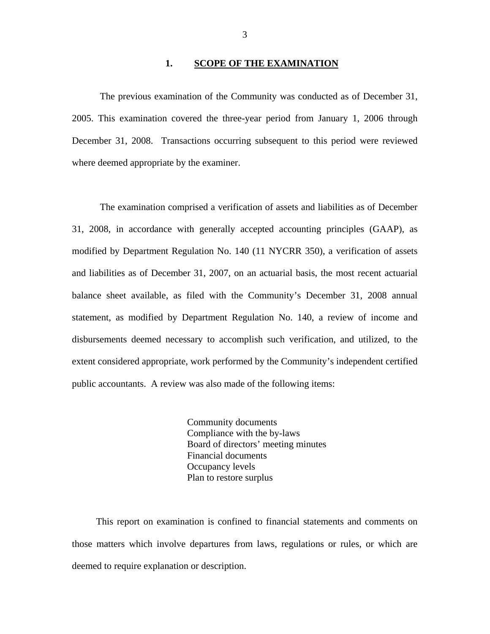#### **1. SCOPE OF THE EXAMINATION**

The previous examination of the Community was conducted as of December 31, 2005. This examination covered the three-year period from January 1, 2006 through December 31, 2008. Transactions occurring subsequent to this period were reviewed where deemed appropriate by the examiner.

The examination comprised a verification of assets and liabilities as of December 31, 2008, in accordance with generally accepted accounting principles (GAAP), as modified by Department Regulation No. 140 (11 NYCRR 350), a verification of assets and liabilities as of December 31, 2007, on an actuarial basis, the most recent actuarial balance sheet available, as filed with the Community's December 31, 2008 annual statement, as modified by Department Regulation No. 140, a review of income and disbursements deemed necessary to accomplish such verification, and utilized, to the extent considered appropriate, work performed by the Community's independent certified public accountants. A review was also made of the following items:

> Community documents Compliance with the by-laws Board of directors' meeting minutes Financial documents Occupancy levels Plan to restore surplus

This report on examination is confined to financial statements and comments on those matters which involve departures from laws, regulations or rules, or which are deemed to require explanation or description.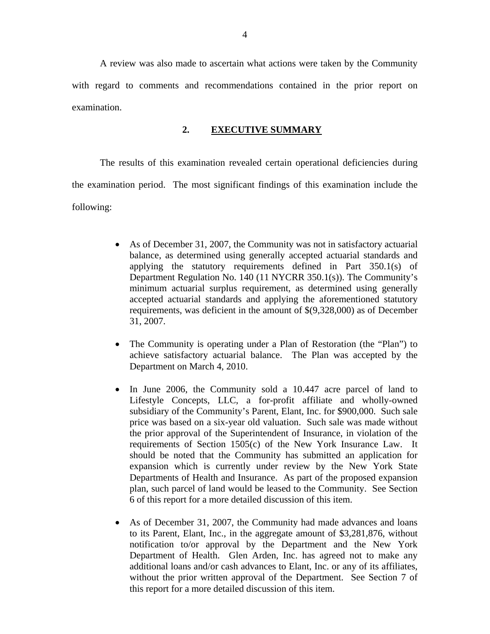A review was also made to ascertain what actions were taken by the Community with regard to comments and recommendations contained in the prior report on examination.

### **2. EXECUTIVE SUMMARY**

The results of this examination revealed certain operational deficiencies during the examination period. The most significant findings of this examination include the following:

- As of December 31, 2007, the Community was not in satisfactory actuarial balance, as determined using generally accepted actuarial standards and applying the statutory requirements defined in Part 350.1(s) of Department Regulation No. 140 (11 NYCRR 350.1(s)). The Community's minimum actuarial surplus requirement, as determined using generally accepted actuarial standards and applying the aforementioned statutory requirements, was deficient in the amount of \$(9,328,000) as of December 31, 2007.
- The Community is operating under a Plan of Restoration (the "Plan") to achieve satisfactory actuarial balance. The Plan was accepted by the Department on March 4, 2010.
- In June 2006, the Community sold a 10.447 acre parcel of land to Lifestyle Concepts, LLC, a for-profit affiliate and wholly-owned subsidiary of the Community's Parent, Elant, Inc. for \$900,000. Such sale price was based on a six-year old valuation. Such sale was made without the prior approval of the Superintendent of Insurance, in violation of the requirements of Section 1505(c) of the New York Insurance Law. It should be noted that the Community has submitted an application for expansion which is currently under review by the New York State Departments of Health and Insurance. As part of the proposed expansion plan, such parcel of land would be leased to the Community. See Section 6 of this report for a more detailed discussion of this item.
- As of December 31, 2007, the Community had made advances and loans to its Parent, Elant, Inc., in the aggregate amount of \$3,281,876, without notification to/or approval by the Department and the New York Department of Health. Glen Arden, Inc. has agreed not to make any additional loans and/or cash advances to Elant, Inc. or any of its affiliates, without the prior written approval of the Department. See Section 7 of this report for a more detailed discussion of this item.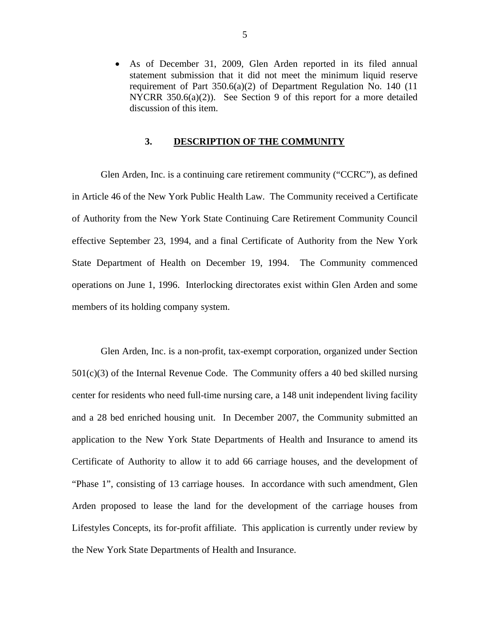<span id="page-6-0"></span> As of December 31, 2009, Glen Arden reported in its filed annual statement submission that it did not meet the minimum liquid reserve requirement of Part 350.6(a)(2) of Department Regulation No. 140 (11 NYCRR 350.6(a)(2)). See Section 9 of this report for a more detailed discussion of this item.

## **3. DESCRIPTION OF THE COMMUNITY**

Glen Arden, Inc. is a continuing care retirement community ("CCRC"), as defined in Article 46 of the New York Public Health Law. The Community received a Certificate of Authority from the New York State Continuing Care Retirement Community Council effective September 23, 1994, and a final Certificate of Authority from the New York State Department of Health on December 19, 1994. The Community commenced operations on June 1, 1996. Interlocking directorates exist within Glen Arden and some members of its holding company system.

Glen Arden, Inc. is a non-profit, tax-exempt corporation, organized under Section  $501(c)(3)$  of the Internal Revenue Code. The Community offers a 40 bed skilled nursing center for residents who need full-time nursing care, a 148 unit independent living facility and a 28 bed enriched housing unit. In December 2007, the Community submitted an application to the New York State Departments of Health and Insurance to amend its Certificate of Authority to allow it to add 66 carriage houses, and the development of "Phase 1", consisting of 13 carriage houses. In accordance with such amendment, Glen Arden proposed to lease the land for the development of the carriage houses from Lifestyles Concepts, its for-profit affiliate. This application is currently under review by the New York State Departments of Health and Insurance.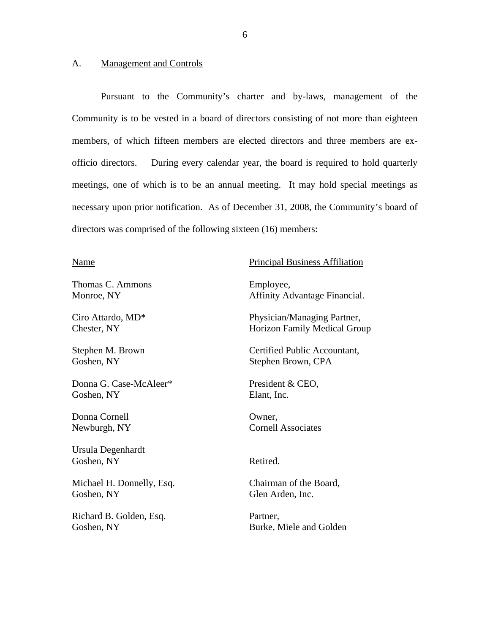#### <span id="page-7-0"></span>A. Management and Controls

Pursuant to the Community's charter and by-laws, management of the Community is to be vested in a board of directors consisting of not more than eighteen members, of which fifteen members are elected directors and three members are exofficio directors. During every calendar year, the board is required to hold quarterly meetings, one of which is to be an annual meeting. It may hold special meetings as necessary upon prior notification. As of December 31, 2008, the Community's board of directors was comprised of the following sixteen (16) members:

Thomas C. Ammons Employee,

Donna G. Case-McAleer\* President & CEO, Goshen, NY Elant, Inc.

Donna Cornell **Owner**,

Ursula Degenhardt Goshen, NY Retired.

Michael H. Donnelly, Esq. Chairman of the Board, Goshen, NY Glen Arden, Inc.

Richard B. Golden, Esq. Partner,

## Name Principal Business Affiliation

Monroe, NY Affinity Advantage Financial.

Ciro Attardo, MD\* Physician/Managing Partner, Chester, NY Horizon Family Medical Group

Stephen M. Brown Certified Public Accountant, Goshen, NY Stephen Brown, CPA

Newburgh, NY Cornell Associates

Goshen, NY Burke, Miele and Golden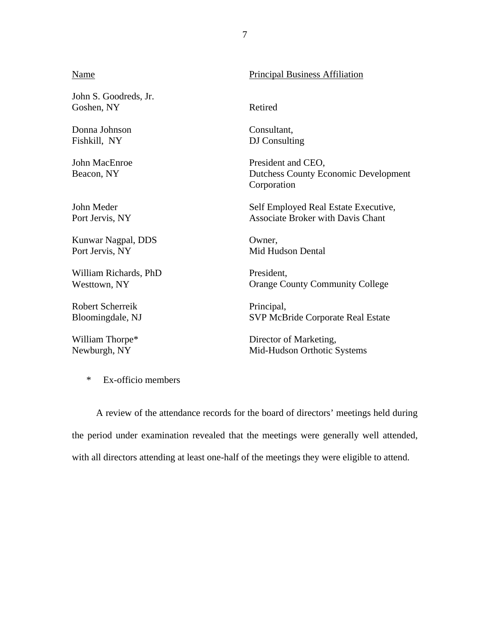#### Name John S. Goodreds, Jr. Goshen, NY Donna Johnson Fishkill, NY John MacEnroe Beacon, NY John Meder Port Jervis, NY Kunwar Nagpal, DDS Port Jervis, NY William Richards, PhD Westtown, NY Robert Scherreik Bloomingdale, NJ William Thorpe\* Newburgh, NY Principal Business Affiliation Retired Consultant, DJ Consulting President and CEO, Dutchess County Economic Development Corporation Self Employed Real Estate Executive, Associate Broker with Davis Chant Owner, Mid Hudson Dental President, Orange County Community College Principal, SVP McBride Corporate Real Estate Director of Marketing, Mid-Hudson Orthotic Systems

7

\* Ex-officio members

A review of the attendance records for the board of directors' meetings held during the period under examination revealed that the meetings were generally well attended, with all directors attending at least one-half of the meetings they were eligible to attend.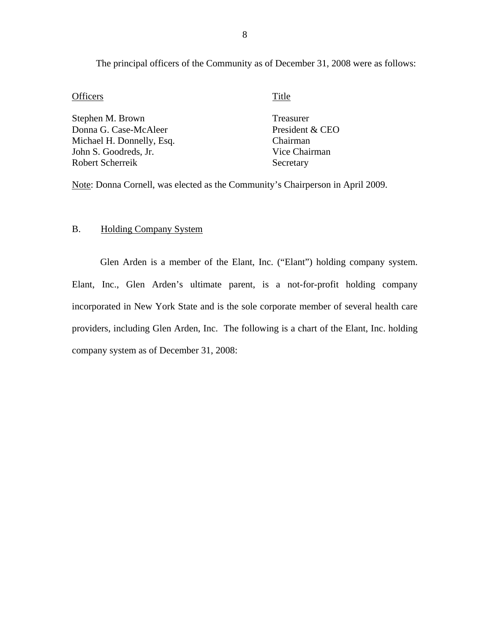The principal officers of the Community as of December 31, 2008 were as follows:

#### Officers Title

Stephen M. Brown Donna G. Case-McAleer Michael H. Donnelly, Esq. John S. Goodreds, Jr. Robert Scherreik

Treasurer President & CEO Chairman Vice Chairman Secretary

Note: Donna Cornell, was elected as the Community's Chairperson in April 2009.

## B. Holding Company System

Glen Arden is a member of the Elant, Inc. ("Elant") holding company system. Elant, Inc., Glen Arden's ultimate parent, is a not-for-profit holding company incorporated in New York State and is the sole corporate member of several health care providers, including Glen Arden, Inc. The following is a chart of the Elant, Inc. holding company system as of December 31, 2008: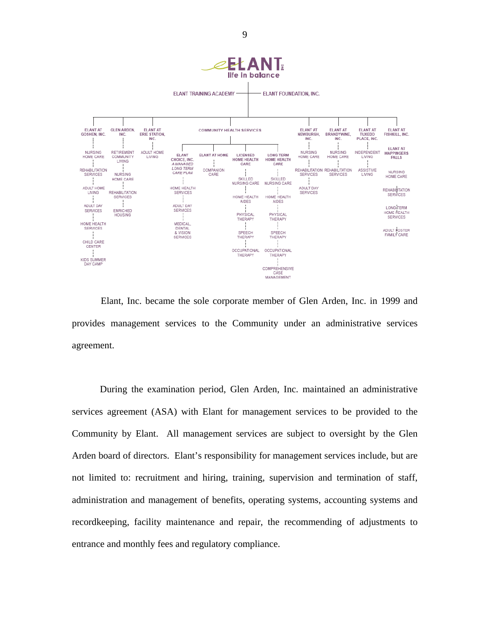

Elant, Inc. became the sole corporate member of Glen Arden, Inc. in 1999 and provides management services to the Community under an administrative services agreement.

During the examination period, Glen Arden, Inc. maintained an administrative services agreement (ASA) with Elant for management services to be provided to the Community by Elant. All management services are subject to oversight by the Glen Arden board of directors. Elant's responsibility for management services include, but are not limited to: recruitment and hiring, training, supervision and termination of staff, administration and management of benefits, operating systems, accounting systems and recordkeeping, facility maintenance and repair, the recommending of adjustments to entrance and monthly fees and regulatory compliance.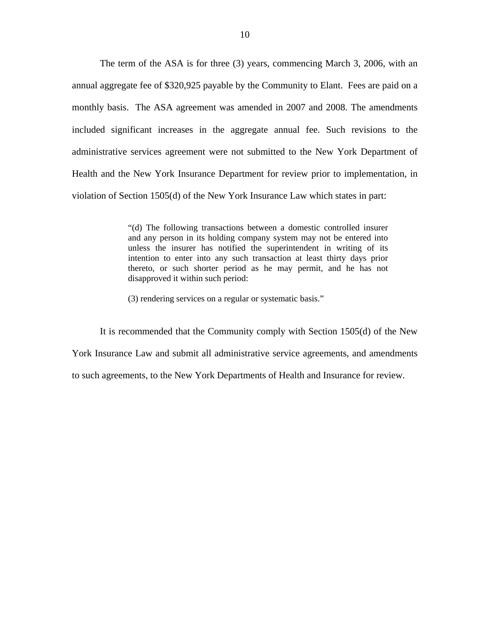monthly basis. The ASA agreement was amended in 2007 and 2008. The amendments The term of the ASA is for three (3) years, commencing March 3, 2006, with an annual aggregate fee of \$320,925 payable by the Community to Elant. Fees are paid on a included significant increases in the aggregate annual fee. Such revisions to the administrative services agreement were not submitted to the New York Department of Health and the New York Insurance Department for review prior to implementation, in violation of Section 1505(d) of the New York Insurance Law which states in part:

> "(d) The following transactions between a domestic controlled insurer and any person in its holding company system may not be entered into unless the insurer has notified the superintendent in writing of its intention to enter into any such transaction at least thirty days prior thereto, or such shorter period as he may permit, and he has not disapproved it within such period:

(3) rendering services on a regular or systematic basis."

It is recommended that the Community comply with Section 1505(d) of the New York Insurance Law and submit all administrative service agreements, and amendments to such agreements, to the New York Departments of Health and Insurance for review.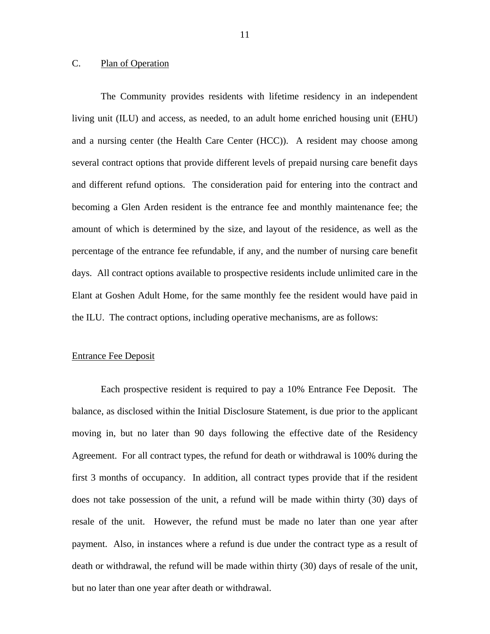## <span id="page-12-0"></span>C. Plan of Operation

The Community provides residents with lifetime residency in an independent living unit (ILU) and access, as needed, to an adult home enriched housing unit (EHU) and a nursing center (the Health Care Center (HCC)). A resident may choose among several contract options that provide different levels of prepaid nursing care benefit days and different refund options. The consideration paid for entering into the contract and becoming a Glen Arden resident is the entrance fee and monthly maintenance fee; the amount of which is determined by the size, and layout of the residence, as well as the percentage of the entrance fee refundable, if any, and the number of nursing care benefit days. All contract options available to prospective residents include unlimited care in the Elant at Goshen Adult Home, for the same monthly fee the resident would have paid in the ILU. The contract options, including operative mechanisms, are as follows:

#### Entrance Fee Deposit

Each prospective resident is required to pay a 10% Entrance Fee Deposit. The balance, as disclosed within the Initial Disclosure Statement, is due prior to the applicant moving in, but no later than 90 days following the effective date of the Residency Agreement. For all contract types, the refund for death or withdrawal is 100% during the first 3 months of occupancy. In addition, all contract types provide that if the resident does not take possession of the unit, a refund will be made within thirty (30) days of resale of the unit. However, the refund must be made no later than one year after payment. Also, in instances where a refund is due under the contract type as a result of death or withdrawal, the refund will be made within thirty (30) days of resale of the unit, but no later than one year after death or withdrawal.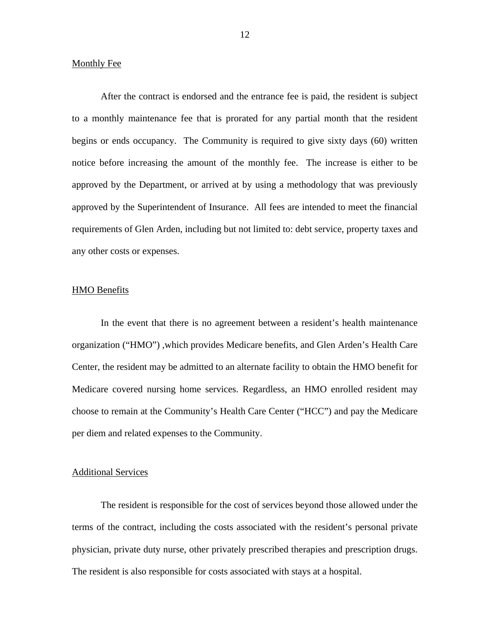#### Monthly Fee

After the contract is endorsed and the entrance fee is paid, the resident is subject to a monthly maintenance fee that is prorated for any partial month that the resident begins or ends occupancy. The Community is required to give sixty days (60) written notice before increasing the amount of the monthly fee. The increase is either to be approved by the Department, or arrived at by using a methodology that was previously approved by the Superintendent of Insurance. All fees are intended to meet the financial requirements of Glen Arden, including but not limited to: debt service, property taxes and any other costs or expenses.

#### HMO Benefits

In the event that there is no agreement between a resident's health maintenance organization ("HMO") ,which provides Medicare benefits, and Glen Arden's Health Care Center, the resident may be admitted to an alternate facility to obtain the HMO benefit for Medicare covered nursing home services. Regardless, an HMO enrolled resident may choose to remain at the Community's Health Care Center ("HCC") and pay the Medicare per diem and related expenses to the Community.

#### Additional Services

The resident is responsible for the cost of services beyond those allowed under the terms of the contract, including the costs associated with the resident's personal private physician, private duty nurse, other privately prescribed therapies and prescription drugs. The resident is also responsible for costs associated with stays at a hospital.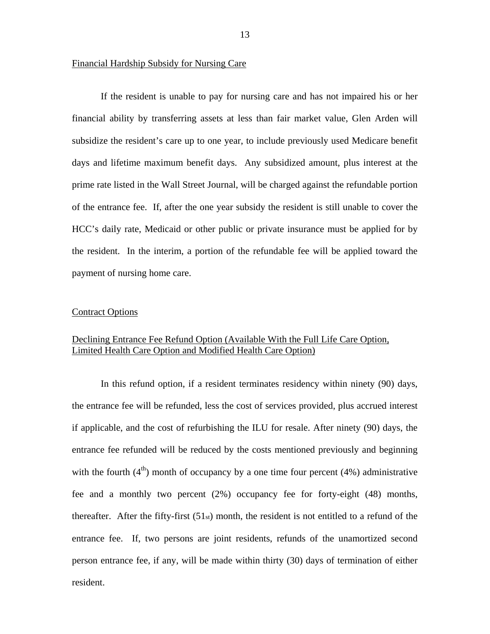#### Financial Hardship Subsidy for Nursing Care

If the resident is unable to pay for nursing care and has not impaired his or her financial ability by transferring assets at less than fair market value, Glen Arden will subsidize the resident's care up to one year, to include previously used Medicare benefit days and lifetime maximum benefit days. Any subsidized amount, plus interest at the prime rate listed in the Wall Street Journal, will be charged against the refundable portion of the entrance fee. If, after the one year subsidy the resident is still unable to cover the HCC's daily rate, Medicaid or other public or private insurance must be applied for by the resident. In the interim, a portion of the refundable fee will be applied toward the payment of nursing home care.

#### Contract Options

## Declining Entrance Fee Refund Option (Available With the Full Life Care Option, Limited Health Care Option and Modified Health Care Option)

In this refund option, if a resident terminates residency within ninety (90) days, the entrance fee will be refunded, less the cost of services provided, plus accrued interest if applicable, and the cost of refurbishing the ILU for resale. After ninety (90) days, the entrance fee refunded will be reduced by the costs mentioned previously and beginning with the fourth  $(4<sup>th</sup>)$  month of occupancy by a one time four percent  $(4%)$  administrative fee and a monthly two percent (2%) occupancy fee for forty-eight (48) months, thereafter. After the fifty-first  $(51<sub>st</sub>)$  month, the resident is not entitled to a refund of the entrance fee. If, two persons are joint residents, refunds of the unamortized second person entrance fee, if any, will be made within thirty (30) days of termination of either resident.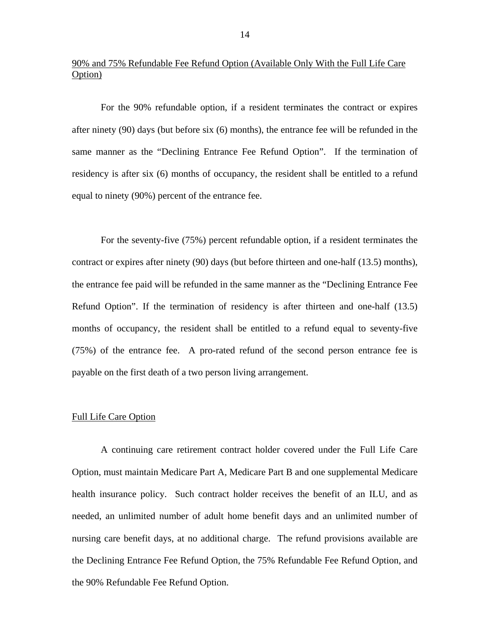## 90% and 75% Refundable Fee Refund Option (Available Only With the Full Life Care Option)

For the 90% refundable option, if a resident terminates the contract or expires after ninety (90) days (but before six (6) months), the entrance fee will be refunded in the same manner as the "Declining Entrance Fee Refund Option". If the termination of residency is after six (6) months of occupancy, the resident shall be entitled to a refund equal to ninety (90%) percent of the entrance fee.

For the seventy-five (75%) percent refundable option, if a resident terminates the contract or expires after ninety (90) days (but before thirteen and one-half (13.5) months), the entrance fee paid will be refunded in the same manner as the "Declining Entrance Fee Refund Option". If the termination of residency is after thirteen and one-half (13.5) months of occupancy, the resident shall be entitled to a refund equal to seventy-five (75%) of the entrance fee. A pro-rated refund of the second person entrance fee is payable on the first death of a two person living arrangement.

#### Full Life Care Option

A continuing care retirement contract holder covered under the Full Life Care Option, must maintain Medicare Part A, Medicare Part B and one supplemental Medicare health insurance policy. Such contract holder receives the benefit of an ILU, and as needed, an unlimited number of adult home benefit days and an unlimited number of nursing care benefit days, at no additional charge. The refund provisions available are the Declining Entrance Fee Refund Option, the 75% Refundable Fee Refund Option, and the 90% Refundable Fee Refund Option.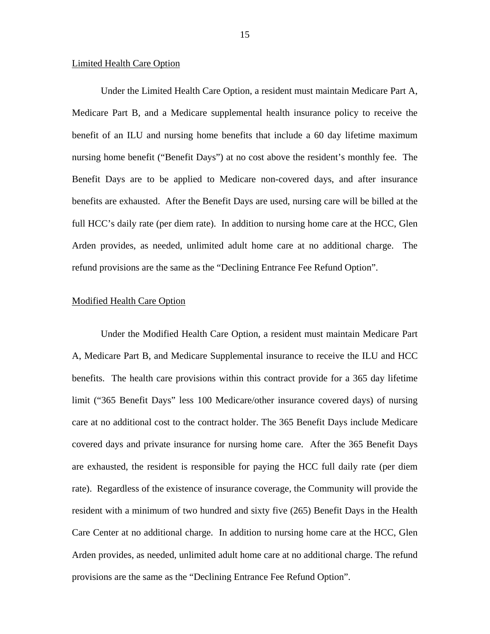#### Limited Health Care Option

Under the Limited Health Care Option, a resident must maintain Medicare Part A, Medicare Part B, and a Medicare supplemental health insurance policy to receive the benefit of an ILU and nursing home benefits that include a 60 day lifetime maximum nursing home benefit ("Benefit Days") at no cost above the resident's monthly fee. The Benefit Days are to be applied to Medicare non-covered days, and after insurance benefits are exhausted. After the Benefit Days are used, nursing care will be billed at the full HCC's daily rate (per diem rate). In addition to nursing home care at the HCC, Glen Arden provides, as needed, unlimited adult home care at no additional charge. The refund provisions are the same as the "Declining Entrance Fee Refund Option".

#### Modified Health Care Option

Under the Modified Health Care Option, a resident must maintain Medicare Part A, Medicare Part B, and Medicare Supplemental insurance to receive the ILU and HCC benefits. The health care provisions within this contract provide for a 365 day lifetime limit ("365 Benefit Days" less 100 Medicare/other insurance covered days) of nursing care at no additional cost to the contract holder. The 365 Benefit Days include Medicare covered days and private insurance for nursing home care. After the 365 Benefit Days are exhausted, the resident is responsible for paying the HCC full daily rate (per diem rate). Regardless of the existence of insurance coverage, the Community will provide the resident with a minimum of two hundred and sixty five (265) Benefit Days in the Health Care Center at no additional charge. In addition to nursing home care at the HCC, Glen Arden provides, as needed, unlimited adult home care at no additional charge. The refund provisions are the same as the "Declining Entrance Fee Refund Option".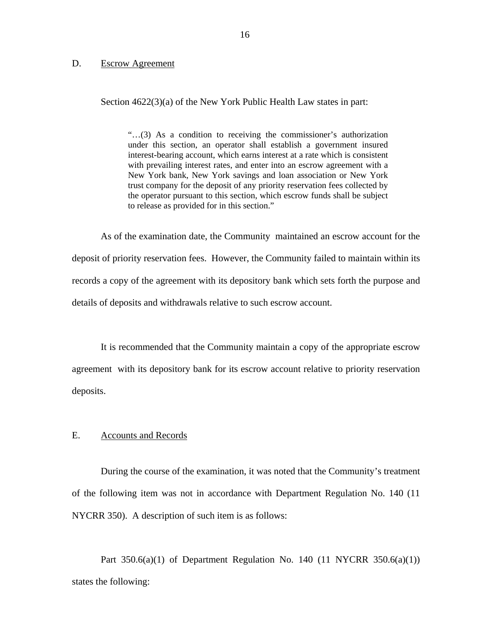#### <span id="page-17-0"></span>D. Escrow Agreement

Section  $4622(3)(a)$  of the New York Public Health Law states in part:

"…(3) As a condition to receiving the commissioner's authorization under this section, an operator shall establish a government insured interest-bearing account, which earns interest at a rate which is consistent with prevailing interest rates, and enter into an escrow agreement with a New York bank, New York savings and loan association or New York trust company for the deposit of any priority reservation fees collected by the operator pursuant to this section, which escrow funds shall be subject to release as provided for in this section."

As of the examination date, the Community maintained an escrow account for the deposit of priority reservation fees. However, the Community failed to maintain within its records a copy of the agreement with its depository bank which sets forth the purpose and details of deposits and withdrawals relative to such escrow account.

It is recommended that the Community maintain a copy of the appropriate escrow agreement with its depository bank for its escrow account relative to priority reservation deposits.

#### E. Accounts and Records

During the course of the examination, it was noted that the Community's treatment of the following item was not in accordance with Department Regulation No. 140 (11 NYCRR 350). A description of such item is as follows:

Part  $350.6(a)(1)$  of Department Regulation No. 140 (11 NYCRR  $350.6(a)(1)$ ) states the following: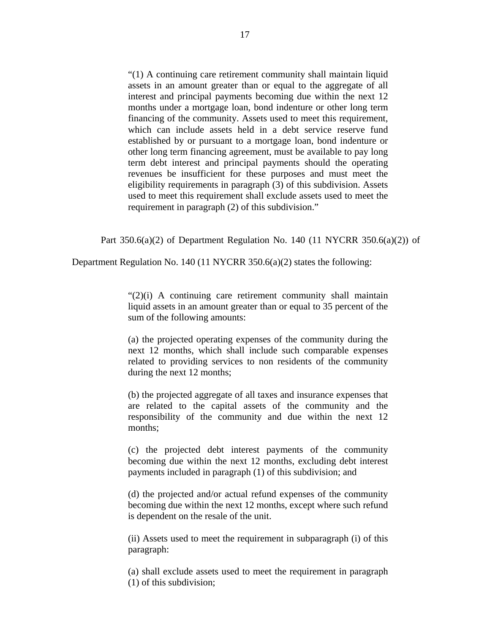"(1) A continuing care retirement community shall maintain liquid assets in an amount greater than or equal to the aggregate of all interest and principal payments becoming due within the next 12 months under a mortgage loan, bond indenture or other long term financing of the community. Assets used to meet this requirement, which can include assets held in a debt service reserve fund established by or pursuant to a mortgage loan, bond indenture or other long term financing agreement, must be available to pay long term debt interest and principal payments should the operating revenues be insufficient for these purposes and must meet the eligibility requirements in paragraph (3) of this subdivision. Assets used to meet this requirement shall exclude assets used to meet the requirement in paragraph (2) of this subdivision."

Part  $350.6(a)(2)$  of Department Regulation No. 140 (11 NYCRR  $350.6(a)(2)$ ) of

Department Regulation No. 140 (11 NYCRR 350.6(a)(2) states the following:

"(2)(i) A continuing care retirement community shall maintain liquid assets in an amount greater than or equal to 35 percent of the sum of the following amounts:

(a) the projected operating expenses of the community during the next 12 months, which shall include such comparable expenses related to providing services to non residents of the community during the next 12 months;

(b) the projected aggregate of all taxes and insurance expenses that are related to the capital assets of the community and the responsibility of the community and due within the next 12 months;

(c) the projected debt interest payments of the community becoming due within the next 12 months, excluding debt interest payments included in paragraph (1) of this subdivision; and

(d) the projected and/or actual refund expenses of the community becoming due within the next 12 months, except where such refund is dependent on the resale of the unit.

(ii) Assets used to meet the requirement in subparagraph (i) of this paragraph:

(a) shall exclude assets used to meet the requirement in paragraph (1) of this subdivision;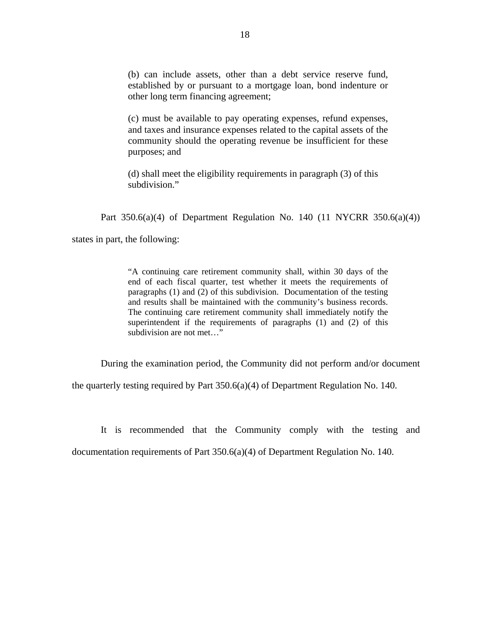(b) can include assets, other than a debt service reserve fund, established by or pursuant to a mortgage loan, bond indenture or other long term financing agreement;

(c) must be available to pay operating expenses, refund expenses, and taxes and insurance expenses related to the capital assets of the community should the operating revenue be insufficient for these purposes; and

(d) shall meet the eligibility requirements in paragraph (3) of this subdivision."

Part 350.6(a)(4) of Department Regulation No. 140 (11 NYCRR 350.6(a)(4))

states in part, the following:

 superintendent if the requirements of paragraphs (1) and (2) of this "A continuing care retirement community shall, within 30 days of the end of each fiscal quarter, test whether it meets the requirements of paragraphs (1) and (2) of this subdivision. Documentation of the testing and results shall be maintained with the community's business records. The continuing care retirement community shall immediately notify the subdivision are not met…"

During the examination period, the Community did not perform and/or document

the quarterly testing required by Part 350.6(a)(4) of Department Regulation No. 140.

It is recommended that the Community comply with the testing and

documentation requirements of Part 350.6(a)(4) of Department Regulation No. 140.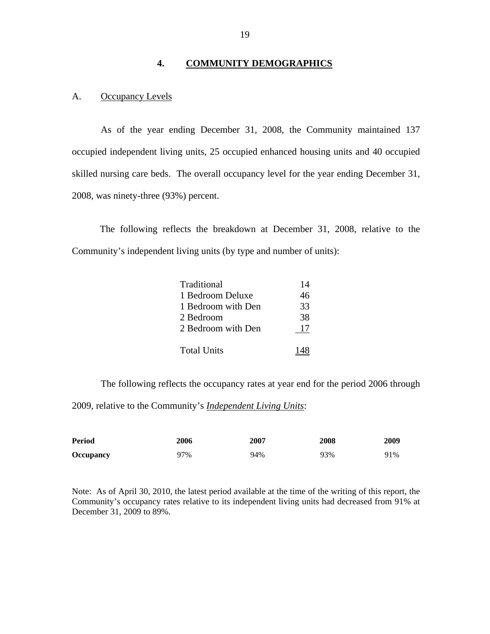## **4. COMMUNITY DEMOGRAPHICS**

#### A. Occupancy Levels

As of the year ending December 31, 2008, the Community maintained 137 occupied independent living units, 25 occupied enhanced housing units and 40 occupied skilled nursing care beds. The overall occupancy level for the year ending December 31, 2008, was ninety-three (93%) percent.

The following reflects the breakdown at December 31, 2008, relative to the Community's independent living units (by type and number of units):

| Traditional        | 14 |
|--------------------|----|
| 1 Bedroom Deluxe   | 46 |
| 1 Bedroom with Den | 33 |
| 2 Bedroom          | 38 |
| 2 Bedroom with Den | 17 |
| <b>Total Units</b> |    |

The following reflects the occupancy rates at year end for the period 2006 through 2009, relative to the Community's *Independent Living Units*:

| <b>Period</b>    | 2006 | 2007 | 2008 | 2009 |
|------------------|------|------|------|------|
| <b>Occupancy</b> | 97%  | 94%  | 93%  | 91%  |

 December 31, 2009 to 89%. Note: As of April 30, 2010, the latest period available at the time of the writing of this report, the Community's occupancy rates relative to its independent living units had decreased from 91% at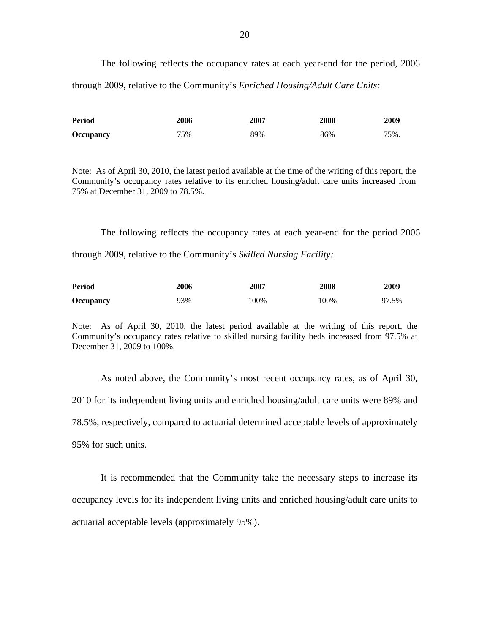The following reflects the occupancy rates at each year-end for the period, 2006 through 2009, relative to the Community's *Enriched Housing/Adult Care Units:* 

| Period           | 2006 | 2007 | 2008 | 2009 |
|------------------|------|------|------|------|
| <b>Occupancy</b> | 75%  | 89%  | 86%  | 75%. |

Note: As of April 30, 2010, the latest period available at the time of the writing of this report, the Community's occupancy rates relative to its enriched housing/adult care units increased from 75% at December 31, 2009 to 78.5%.

The following reflects the occupancy rates at each year-end for the period 2006 through 2009, relative to the Community's *Skilled Nursing Facility:* 

| <b>Period</b>    | 2006 | 2007 | 2008 | 2009  |
|------------------|------|------|------|-------|
| <b>Occupancy</b> | 93%  | 100% | 100% | 97.5% |

Note: As of April 30, 2010, the latest period available at the writing of this report, the Community's occupancy rates relative to skilled nursing facility beds increased from 97.5% at December 31, 2009 to 100%.

As noted above, the Community's most recent occupancy rates, as of April 30, 2010 for its independent living units and enriched housing/adult care units were 89% and 78.5%, respectively, compared to actuarial determined acceptable levels of approximately 95% for such units.

It is recommended that the Community take the necessary steps to increase its occupancy levels for its independent living units and enriched housing/adult care units to actuarial acceptable levels (approximately 95%).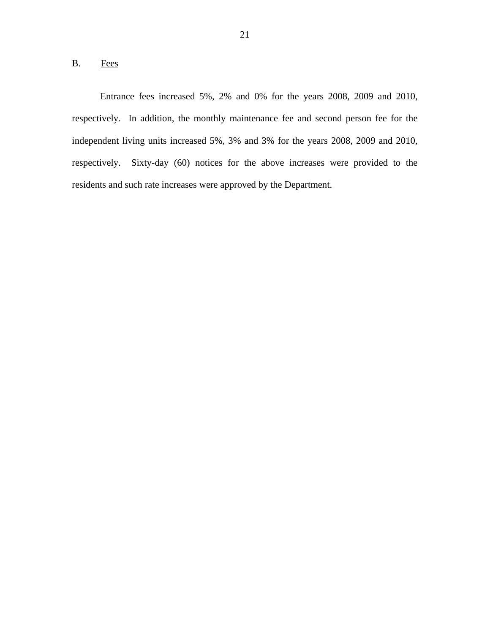## <span id="page-22-0"></span>B. Fees

Entrance fees increased 5%, 2% and 0% for the years 2008, 2009 and 2010, respectively. In addition, the monthly maintenance fee and second person fee for the independent living units increased 5%, 3% and 3% for the years 2008, 2009 and 2010, respectively. Sixty-day (60) notices for the above increases were provided to the residents and such rate increases were approved by the Department.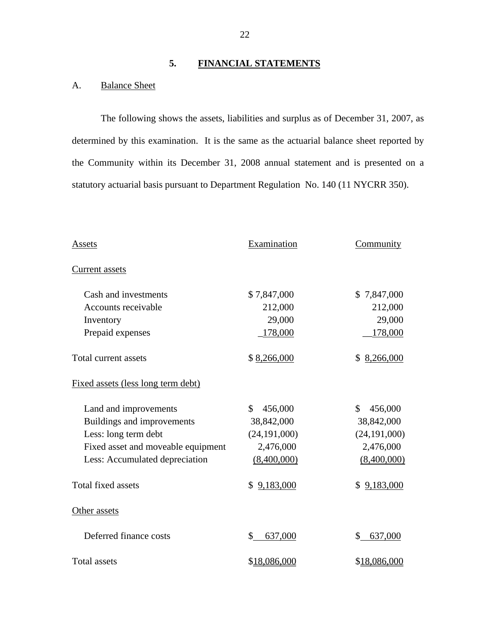## **5. FINANCIAL STATEMENTS**

## A. Balance Sheet

The following shows the assets, liabilities and surplus as of December 31, 2007, as determined by this examination. It is the same as the actuarial balance sheet reported by the Community within its December 31, 2008 annual statement and is presented on a statutory actuarial basis pursuant to Department Regulation No. 140 (11 NYCRR 350).

| Assets                             | Examination      | Community       |
|------------------------------------|------------------|-----------------|
| <b>Current assets</b>              |                  |                 |
| Cash and investments               | \$7,847,000      | \$7,847,000     |
| Accounts receivable                | 212,000          | 212,000         |
| Inventory                          | 29,000           | 29,000          |
| Prepaid expenses                   | 178,000          | 178,000         |
| Total current assets               | \$8,266,000      | 8,266,000<br>S. |
| Fixed assets (less long term debt) |                  |                 |
| Land and improvements              | \$<br>456,000    | \$<br>456,000   |
| Buildings and improvements         | 38,842,000       | 38,842,000      |
| Less: long term debt               | (24, 191, 000)   | (24, 191, 000)  |
| Fixed asset and moveable equipment | 2,476,000        | 2,476,000       |
| Less: Accumulated depreciation     | (8,400,000)      | (8,400,000)     |
| <b>Total fixed assets</b>          | 9,183,000<br>\$. | \$9,183,000     |
| Other assets                       |                  |                 |
| Deferred finance costs             | \$<br>637,000    | \$<br>637,000   |
| <b>Total assets</b>                | \$18,086,000     | \$18,086,000    |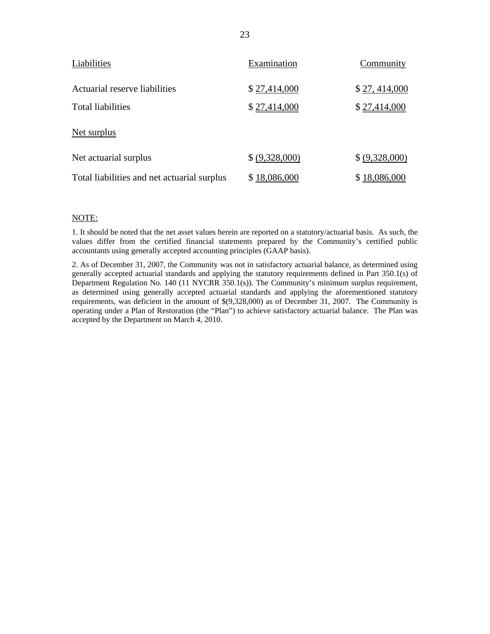| Liabilities                                 | Examination    | Community      |
|---------------------------------------------|----------------|----------------|
| Actuarial reserve liabilities               | \$27,414,000   | \$27,414,000   |
| <b>Total liabilities</b>                    | \$27,414,000   | \$27,414,000   |
| Net surplus                                 |                |                |
| Net actuarial surplus                       | \$ (9,328,000) | \$ (9,328,000) |
| Total liabilities and net actuarial surplus | \$18,086,000   | \$18,086,000   |

#### NOTE:

1. It should be noted that the net asset values herein are reported on a statutory/actuarial basis. As such, the values differ from the certified financial statements prepared by the Community's certified public accountants using generally accepted accounting principles (GAAP basis).

2. As of December 31, 2007, the Community was not in satisfactory actuarial balance, as determined using generally accepted actuarial standards and applying the statutory requirements defined in Part 350.1(s) of Department Regulation No. 140 (11 NYCRR 350.1(s)). The Community's minimum surplus requirement, as determined using generally accepted actuarial standards and applying the aforementioned statutory requirements, was deficient in the amount of \$(9,328,000) as of December 31, 2007. The Community is operating under a Plan of Restoration (the "Plan") to achieve satisfactory actuarial balance. The Plan was accepted by the Department on March 4, 2010.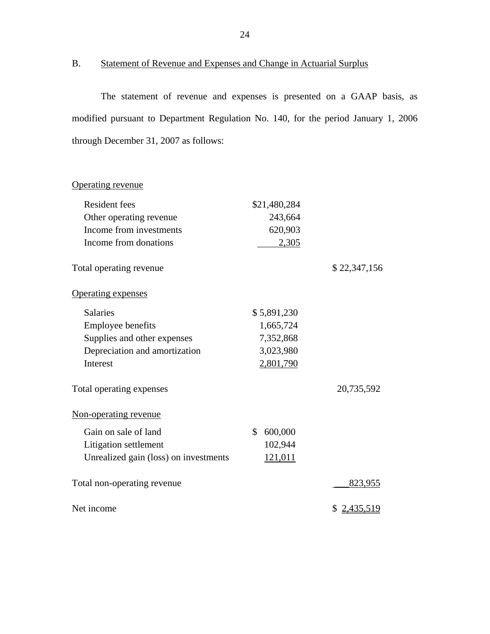```
B. Statement of Revenue and Expenses and Change in Actuarial Surplus
```
The statement of revenue and expenses is presented on a GAAP basis, as modified pursuant to Department Regulation No. 140, for the period January 1, 2006 through December 31, 2007 as follows:

## Operating revenue

| <b>Resident fees</b>                  | \$21,480,284   |              |
|---------------------------------------|----------------|--------------|
| Other operating revenue               | 243,664        |              |
| Income from investments               | 620,903        |              |
| Income from donations                 | 2,305          |              |
| Total operating revenue               |                | \$22,347,156 |
| <b>Operating expenses</b>             |                |              |
| <b>Salaries</b>                       | \$5,891,230    |              |
| <b>Employee benefits</b>              | 1,665,724      |              |
| Supplies and other expenses           | 7,352,868      |              |
| Depreciation and amortization         | 3,023,980      |              |
| Interest                              | 2,801,790      |              |
| Total operating expenses              |                | 20,735,592   |
| Non-operating revenue                 |                |              |
| Gain on sale of land                  | \$<br>600,000  |              |
| Litigation settlement                 | 102,944        |              |
| Unrealized gain (loss) on investments | <u>121,011</u> |              |
| Total non-operating revenue           |                | 823,955      |
| Net income                            |                | \$ 2,435,519 |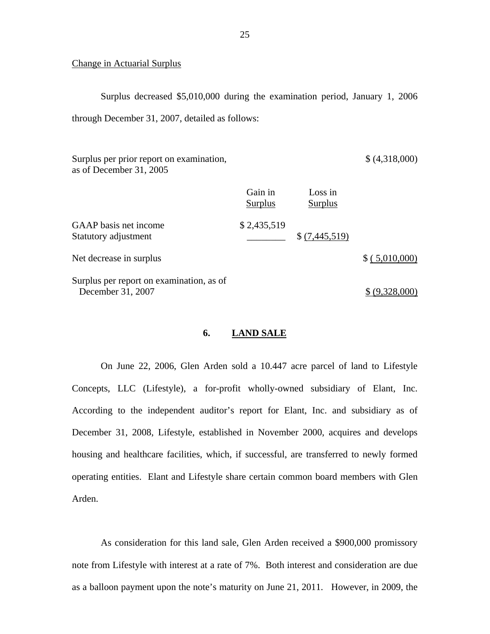#### Change in Actuarial Surplus

Surplus decreased \$5,010,000 during the examination period, January 1, 2006 through December 31, 2007, detailed as follows:

Surplus per prior report on examination, as of December 31, 2005 \$ (4,318,000)

|                                               | Gain in<br><b>Surplus</b> | Loss in<br><b>Surplus</b> |                |
|-----------------------------------------------|---------------------------|---------------------------|----------------|
| GAAP basis net income<br>Statutory adjustment | \$2,435,519               | \$(7,445,519)             |                |
| Net decrease in surplus                       |                           |                           | \$(.5,010,000) |
| Surplus per report on examination, as of      |                           |                           |                |

iativii, as c  $\frac{1}{2}$  December 31, 2007

## **6. LAND SALE**

On June 22, 2006, Glen Arden sold a 10.447 acre parcel of land to Lifestyle Concepts, LLC (Lifestyle), a for-profit wholly-owned subsidiary of Elant, Inc. According to the independent auditor's report for Elant, Inc. and subsidiary as of December 31, 2008, Lifestyle, established in November 2000, acquires and develops housing and healthcare facilities, which, if successful, are transferred to newly formed operating entities. Elant and Lifestyle share certain common board members with Glen Arden.

As consideration for this land sale, Glen Arden received a \$900,000 promissory note from Lifestyle with interest at a rate of 7%. Both interest and consideration are due as a balloon payment upon the note's maturity on June 21, 2011. However, in 2009, the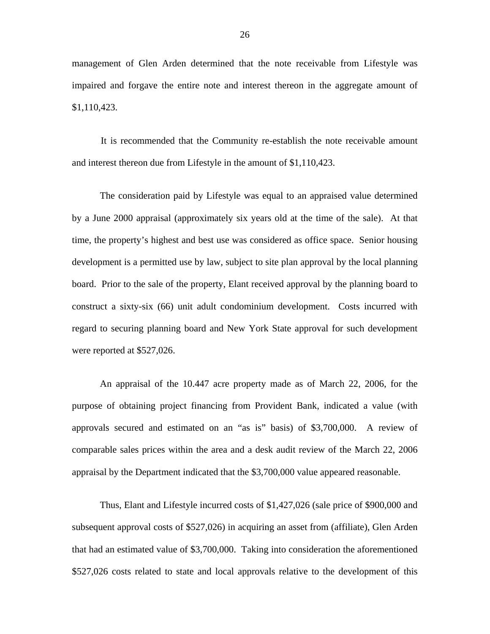management of Glen Arden determined that the note receivable from Lifestyle was impaired and forgave the entire note and interest thereon in the aggregate amount of \$1,110,423.

It is recommended that the Community re-establish the note receivable amount and interest thereon due from Lifestyle in the amount of \$1,110,423.

The consideration paid by Lifestyle was equal to an appraised value determined by a June 2000 appraisal (approximately six years old at the time of the sale). At that time, the property's highest and best use was considered as office space. Senior housing development is a permitted use by law, subject to site plan approval by the local planning board. Prior to the sale of the property, Elant received approval by the planning board to construct a sixty-six (66) unit adult condominium development. Costs incurred with regard to securing planning board and New York State approval for such development were reported at \$527,026.

An appraisal of the 10.447 acre property made as of March 22, 2006, for the purpose of obtaining project financing from Provident Bank, indicated a value (with approvals secured and estimated on an "as is" basis) of \$3,700,000. A review of comparable sales prices within the area and a desk audit review of the March 22, 2006 appraisal by the Department indicated that the \$3,700,000 value appeared reasonable.

Thus, Elant and Lifestyle incurred costs of \$1,427,026 (sale price of \$900,000 and subsequent approval costs of \$527,026) in acquiring an asset from (affiliate), Glen Arden that had an estimated value of \$3,700,000. Taking into consideration the aforementioned \$527,026 costs related to state and local approvals relative to the development of this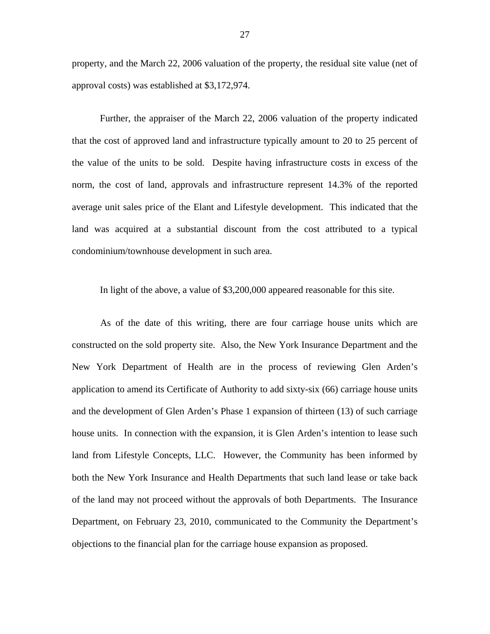property, and the March 22, 2006 valuation of the property, the residual site value (net of approval costs) was established at \$3,172,974.

Further, the appraiser of the March 22, 2006 valuation of the property indicated that the cost of approved land and infrastructure typically amount to 20 to 25 percent of the value of the units to be sold. Despite having infrastructure costs in excess of the norm, the cost of land, approvals and infrastructure represent 14.3% of the reported average unit sales price of the Elant and Lifestyle development. This indicated that the land was acquired at a substantial discount from the cost attributed to a typical condominium/townhouse development in such area.

In light of the above, a value of \$3,200,000 appeared reasonable for this site.

As of the date of this writing, there are four carriage house units which are constructed on the sold property site. Also, the New York Insurance Department and the New York Department of Health are in the process of reviewing Glen Arden's application to amend its Certificate of Authority to add sixty-six (66) carriage house units and the development of Glen Arden's Phase 1 expansion of thirteen (13) of such carriage house units. In connection with the expansion, it is Glen Arden's intention to lease such land from Lifestyle Concepts, LLC. However, the Community has been informed by both the New York Insurance and Health Departments that such land lease or take back of the land may not proceed without the approvals of both Departments. The Insurance Department, on February 23, 2010, communicated to the Community the Department's objections to the financial plan for the carriage house expansion as proposed.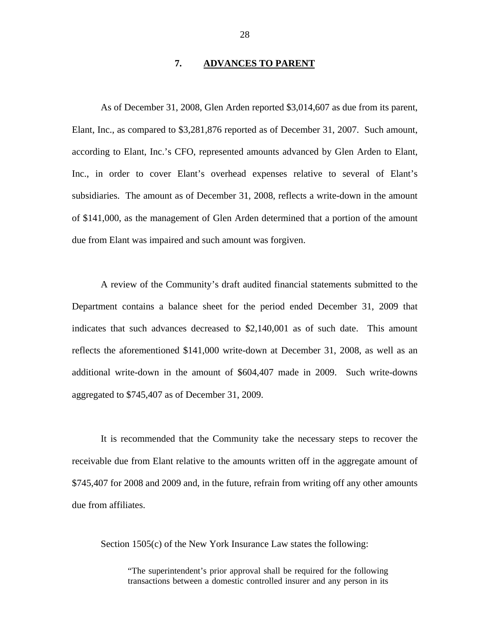#### **7. ADVANCES TO PARENT**

<span id="page-29-0"></span>As of December 31, 2008, Glen Arden reported \$3,014,607 as due from its parent, Elant, Inc., as compared to \$3,281,876 reported as of December 31, 2007. Such amount, according to Elant, Inc.'s CFO, represented amounts advanced by Glen Arden to Elant, Inc., in order to cover Elant's overhead expenses relative to several of Elant's subsidiaries. The amount as of December 31, 2008, reflects a write-down in the amount of \$141,000, as the management of Glen Arden determined that a portion of the amount due from Elant was impaired and such amount was forgiven.

A review of the Community's draft audited financial statements submitted to the Department contains a balance sheet for the period ended December 31, 2009 that indicates that such advances decreased to \$2,140,001 as of such date. This amount reflects the aforementioned \$141,000 write-down at December 31, 2008, as well as an additional write-down in the amount of \$604,407 made in 2009. Such write-downs aggregated to \$745,407 as of December 31, 2009.

It is recommended that the Community take the necessary steps to recover the receivable due from Elant relative to the amounts written off in the aggregate amount of \$745,407 for 2008 and 2009 and, in the future, refrain from writing off any other amounts due from affiliates.

Section 1505(c) of the New York Insurance Law states the following:

"The superintendent's prior approval shall be required for the following transactions between a domestic controlled insurer and any person in its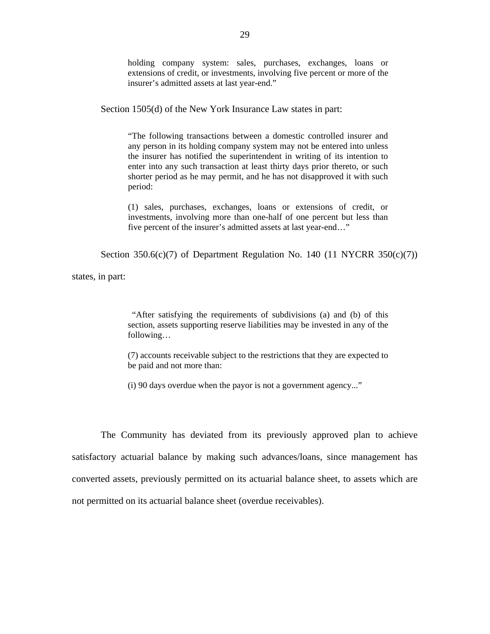holding company system: sales, purchases, exchanges, loans or extensions of credit, or investments, involving five percent or more of the insurer's admitted assets at last year-end."

Section 1505(d) of the New York Insurance Law states in part:

"The following transactions between a domestic controlled insurer and any person in its holding company system may not be entered into unless the insurer has notified the superintendent in writing of its intention to enter into any such transaction at least thirty days prior thereto, or such shorter period as he may permit, and he has not disapproved it with such period:

(1) sales, purchases, exchanges, loans or extensions of credit, or investments, involving more than one-half of one percent but less than five percent of the insurer's admitted assets at last year-end…"

Section 350.6(c)(7) of Department Regulation No. 140 (11 NYCRR 350(c)(7))

states, in part:

"After satisfying the requirements of subdivisions (a) and (b) of this section, assets supporting reserve liabilities may be invested in any of the following…

(7) accounts receivable subject to the restrictions that they are expected to be paid and not more than:

(i) 90 days overdue when the payor is not a government agency..."

The Community has deviated from its previously approved plan to achieve satisfactory actuarial balance by making such advances/loans, since management has converted assets, previously permitted on its actuarial balance sheet, to assets which are not permitted on its actuarial balance sheet (overdue receivables).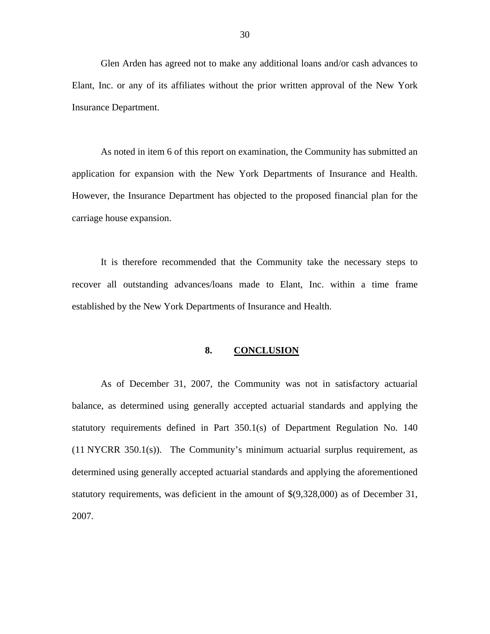<span id="page-31-0"></span>Glen Arden has agreed not to make any additional loans and/or cash advances to Elant, Inc. or any of its affiliates without the prior written approval of the New York Insurance Department.

As noted in item 6 of this report on examination, the Community has submitted an application for expansion with the New York Departments of Insurance and Health. However, the Insurance Department has objected to the proposed financial plan for the carriage house expansion.

It is therefore recommended that the Community take the necessary steps to recover all outstanding advances/loans made to Elant, Inc. within a time frame established by the New York Departments of Insurance and Health.

#### 8. **8. CONCLUSION**

As of December 31, 2007, the Community was not in satisfactory actuarial balance, as determined using generally accepted actuarial standards and applying the statutory requirements defined in Part 350.1(s) of Department Regulation No. 140 (11 NYCRR 350.1(s)). The Community's minimum actuarial surplus requirement, as determined using generally accepted actuarial standards and applying the aforementioned statutory requirements, was deficient in the amount of \$(9,328,000) as of December 31, 2007.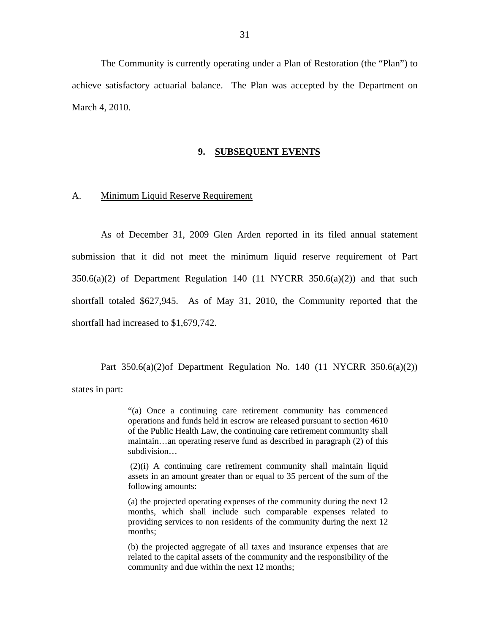<span id="page-32-0"></span>The Community is currently operating under a Plan of Restoration (the "Plan") to achieve satisfactory actuarial balance. The Plan was accepted by the Department on March 4, 2010.

#### **9. SUBSEQUENT EVENTS**

#### A. Minimum Liquid Reserve Requirement

As of December 31, 2009 Glen Arden reported in its filed annual statement submission that it did not meet the minimum liquid reserve requirement of Part  $350.6(a)(2)$  of Department Regulation 140 (11 NYCRR  $350.6(a)(2)$ ) and that such shortfall totaled \$627,945. As of May 31, 2010, the Community reported that the shortfall had increased to \$1,679,742.

Part  $350.6(a)(2)$  Department Regulation No. 140 (11 NYCRR  $350.6(a)(2)$ ) states in part:

> "(a) Once a continuing care retirement community has commenced operations and funds held in escrow are released pursuant to section 4610 of the Public Health Law, the continuing care retirement community shall maintain…an operating reserve fund as described in paragraph (2) of this subdivision…

> (2)(i) A continuing care retirement community shall maintain liquid assets in an amount greater than or equal to 35 percent of the sum of the following amounts:

> (a) the projected operating expenses of the community during the next 12 months, which shall include such comparable expenses related to providing services to non residents of the community during the next 12 months;

> related to the capital assets of the community and the responsibility of the (b) the projected aggregate of all taxes and insurance expenses that are community and due within the next 12 months;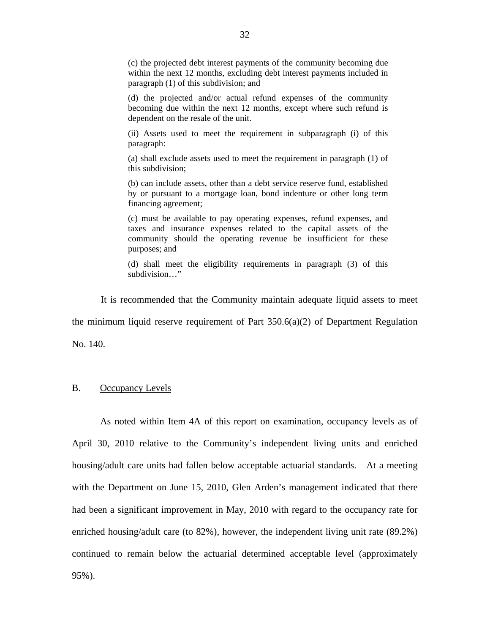(c) the projected debt interest payments of the community becoming due within the next 12 months, excluding debt interest payments included in paragraph (1) of this subdivision; and

(d) the projected and/or actual refund expenses of the community becoming due within the next 12 months, except where such refund is dependent on the resale of the unit.

(ii) Assets used to meet the requirement in subparagraph (i) of this paragraph:

(a) shall exclude assets used to meet the requirement in paragraph (1) of this subdivision;

(b) can include assets, other than a debt service reserve fund, established by or pursuant to a mortgage loan, bond indenture or other long term financing agreement;

(c) must be available to pay operating expenses, refund expenses, and taxes and insurance expenses related to the capital assets of the community should the operating revenue be insufficient for these purposes; and

(d) shall meet the eligibility requirements in paragraph (3) of this subdivision…"

It is recommended that the Community maintain adequate liquid assets to meet the minimum liquid reserve requirement of Part  $350.6(a)(2)$  of Department Regulation No. 140.

## B. Occupancy Levels

As noted within Item 4A of this report on examination, occupancy levels as of April 30, 2010 relative to the Community's independent living units and enriched housing/adult care units had fallen below acceptable actuarial standards. At a meeting with the Department on June 15, 2010, Glen Arden's management indicated that there had been a significant improvement in May, 2010 with regard to the occupancy rate for enriched housing/adult care (to 82%), however, the independent living unit rate (89.2%) continued to remain below the actuarial determined acceptable level (approximately 95%).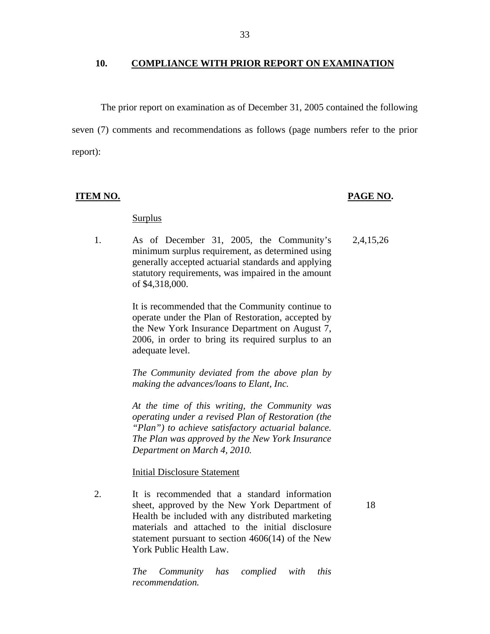#### 10. COMPLIANCE WITH PRIOR REPORT ON EXAMINATION

The prior report on examination as of December 31, 2005 contained the following seven (7) comments and recommendations as follows (page numbers refer to the prior report):

#### <u>**ITEM NO.**</u>

#### <u>PAGE NO</u>.

18

#### Surplus

1. As of December 31, 2005, the Community's minimum surplus requirement, as determined using generally accepted actuarial standards and applying statutory requirements, was impaired in the amount of \$4,318,000. 2,4,15,26

> It is recommended that the Community continue to operate under the Plan of Restoration, accepted by the New York Insurance Department on August 7, 2006, in order to bring its required surplus to an adequate level.

> *The Community deviated from the above plan by making the advances/loans to Elant, Inc.*

> *Department on March 4, 2010. At the time of this writing, the Community was operating under a revised Plan of Restoration (the "Plan") to achieve satisfactory actuarial balance. The Plan was approved by the New York Insurance*

**Initial Disclosure Statement** 

2. It is recommended that a standard information sheet, approved by the New York Department of Health be included with any distributed marketing materials and attached to the initial disclosure statement pursuant to section 4606(14) of the New York Public Health Law.

> *The Community recommendation. has complied with this*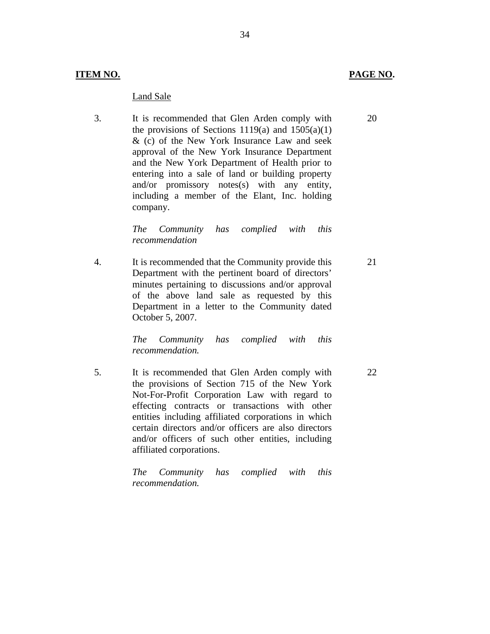#### Land Sale

3. It is recommended that Glen Arden comply with the provisions of Sections 1119(a) and  $1505(a)(1)$ & (c) of the New York Insurance Law and seek approval of the New York Insurance Department and the New York Department of Health prior to entering into a sale of land or building property and/or promissory notes(s) with any entity, including a member of the Elant, Inc. holding company.

> *The Community recommendation has complied with this*

4. It is recommended that the Community provide this Department with the pertinent board of directors' minutes pertaining to discussions and/or approval of the above land sale as requested by this Department in a letter to the Community dated October 5, 2007. 21

> *The Community recommendation. has complied with this*

5. It is recommended that Glen Arden comply with the provisions of Section 715 of the New York Not-For-Profit Corporation Law with regard to effecting contracts or transactions with other entities including affiliated corporations in which certain directors and/or officers are also directors and/or officers of such other entities, including affiliated corporations.

> *The Community recommendation. has complied with this*

20

22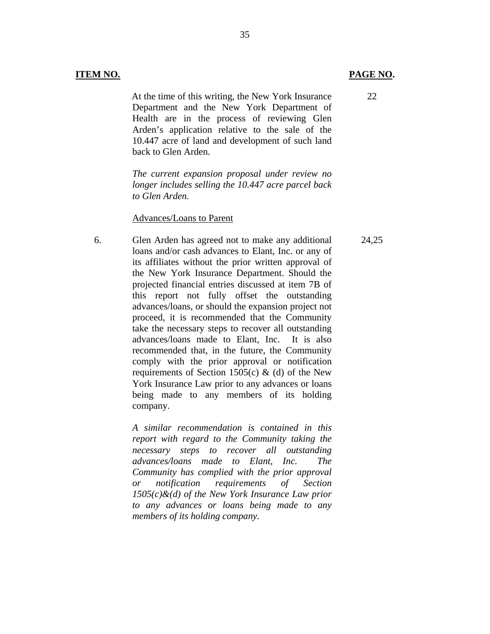At the time of this writing, the New York Insurance Department and the New York Department of Health are in the process of reviewing Glen Arden's application relative to the sale of the 10.447 acre of land and development of such land back to Glen Arden.

35

*The current expansion proposal under review no longer includes selling the 10.447 acre parcel back to Glen Arden.* 

#### Advances/Loans to Parent

6. Glen Arden has agreed not to make any additional loans and/or cash advances to Elant, Inc. or any of its affiliates without the prior written approval of the New York Insurance Department. Should the projected financial entries discussed at item 7B of this report not fully offset the outstanding advances/loans, or should the expansion project not proceed, it is recommended that the Community take the necessary steps to recover all outstanding advances/loans made to Elant, Inc. It is also recommended that, in the future, the Community comply with the prior approval or notification requirements of Section 1505(c)  $\&$  (d) of the New York Insurance Law prior to any advances or loans being made to any members of its holding company.

> *A similar recommendation is contained in this report with regard to the Community taking the necessary steps to recover all outstanding advances/loans made to Elant, Inc. The Community has complied with the prior approval or notification requirements of Section 1505(c)&(d) of the New York Insurance Law prior to any advances or loans being made to any members of its holding company.*

## **ITEM NO. PAGE NO.**

24,25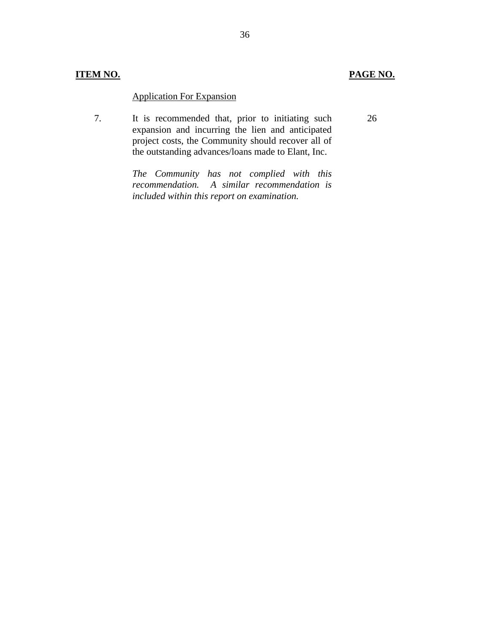## **ITEM NO. PAGE NO.**

26

## **Application For Expansion**

7. It is recommended that, prior to initiating such expansion and incurring the lien and anticipated project costs, the Community should recover all of the outstanding advances/loans made to Elant, Inc.

> *The Community has not complied with this recommendation. A similar recommendation is included within this report on examination.*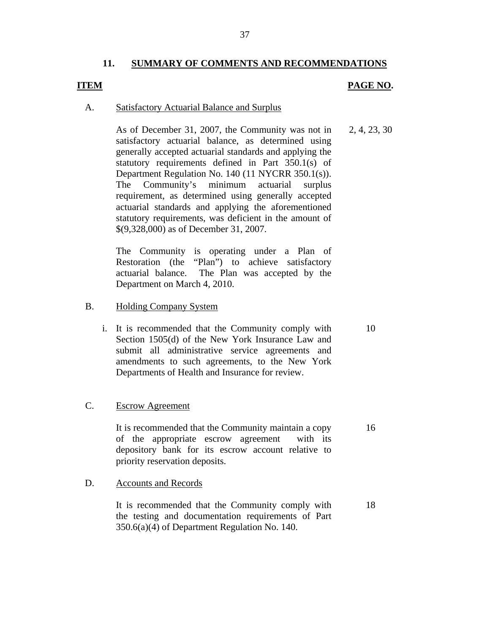## **11. SUMMARY OF COMMENTS AND RECOMMENDATIONS**

## **ITEM**

## **PAGE NO.**

10

16

#### **Satisfactory Actuarial Balance and Surplus**

A. Satisfactory Actuarial Balance and Surplus<br>As of December 31, 2007, the Community was not in satisfactory actuarial balance, as determined using generally accepted actuarial standards and applying the statutory requirements defined in Part 350.1(s) of Department Regulation No. 140 (11 NYCRR 350.1(s)). The Community's minimum actuarial surplus requirement, as determined using generally accepted actuarial standards and applying the aforementioned statutory requirements, was deficient in the amount of \$(9,328,000) as of December 31, 2007. 2, 4, 23, 30

> The Community is operating under a Plan of Restoration (the "Plan") to achieve satisfactory actuarial balance. The Plan was accepted by the Department on March 4, 2010.

- **Holding Company System**
- B. Holding Company System<br>i. It is recommended that the Community comply with Section 1505(d) of the New York Insurance Law and submit all administrative service agreements and amendments to such agreements, to the New York Departments of Health and Insurance for review.

#### **Escrow Agreement**

C. Escrow Agreement<br>It is recommended that the Community maintain a copy of the appropriate escrow agreement with its depository bank for its escrow account relative to priority reservation deposits.

#### **Accounts and Records**

D. Accounts and Records<br>It is recommended that the Community comply with the testing and documentation requirements of Part 350.6(a)(4) of Department Regulation No. 140. 18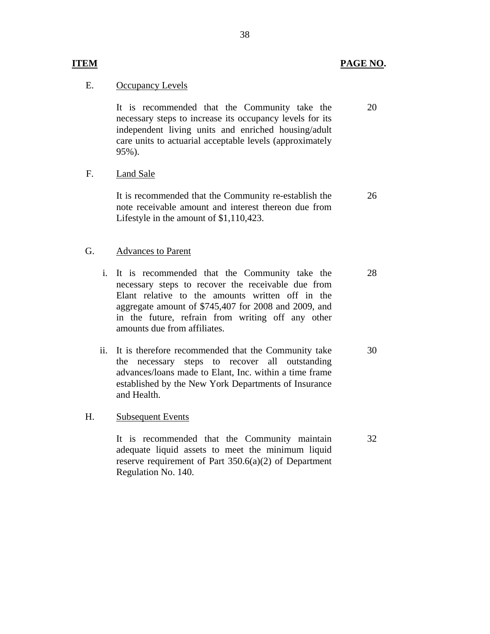## **ITEM PAGE NO.**

20

## **Occupancy Levels**

E. <u>Occupancy Levels</u><br>It is recommended that the Community take the necessary steps to increase its occupancy levels for its independent living units and enriched housing/adult care units to actuarial acceptable levels (approximately 95%).

Land Sale

F. Land Sale<br>It is recommended that the Community re-establish the note receivable amount and interest thereon due from Lifestyle in the amount of \$1,110,423. 26

## **Advances to Parent**

- G. Advances to Parent<br>i. It is recommended that the Community take the necessary steps to recover the receivable due from Elant relative to the amounts written off in the aggregate amount of \$745,407 for 2008 and 2009, and in the future, refrain from writing off any other amounts due from affiliates. 28
	- ii. It is therefore recommended that the Community take the necessary steps to recover all outstanding advances/loans made to Elant, Inc. within a time frame established by the New York Departments of Insurance and Health. 30

#### **Subsequent Events**

H. Subsequent Events<br>It is recommended that the Community maintain adequate liquid assets to meet the minimum liquid reserve requirement of Part 350.6(a)(2) of Department Regulation No. 140. 32